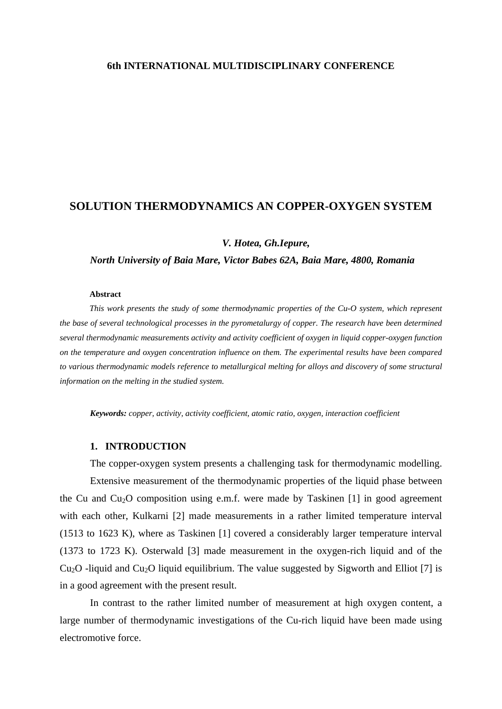# **6th INTERNATIONAL MULTIDISCIPLINARY CONFERENCE**

# **SOLUTION THERMODYNAMICS AN COPPER-OXYGEN SYSTEM**

*V. Hotea, Gh.Iepure,* 

*North University of Baia Mare, Victor Babes 62A, Baia Mare, 4800, Romania* 

### **Abstract**

*This work presents the study of some thermodynamic properties of the Cu-O system, which represent the base of several technological processes in the pyrometalurgy of copper. The research have been determined several thermodynamic measurements activity and activity coefficient of oxygen in liquid copper-oxygen function on the temperature and oxygen concentration influence on them. The experimental results have been compared to various thermodynamic models reference to metallurgical melting for alloys and discovery of some structural information on the melting in the studied system.* 

*Keywords: copper, activity, activity coefficient, atomic ratio, oxygen, interaction coefficient*

### **1. INTRODUCTION**

 The copper-oxygen system presents a challenging task for thermodynamic modelling. Extensive measurement of the thermodynamic properties of the liquid phase between the Cu and  $Cu<sub>2</sub>O$  composition using e.m.f. were made by Taskinen [1] in good agreement with each other, Kulkarni [2] made measurements in a rather limited temperature interval (1513 to 1623 K), where as Taskinen [1] covered a considerably larger temperature interval (1373 to 1723 K). Osterwald [3] made measurement in the oxygen-rich liquid and of the  $Cu<sub>2</sub>O$  -liquid and  $Cu<sub>2</sub>O$  liquid equilibrium. The value suggested by Sigworth and Elliot [7] is in a good agreement with the present result.

 In contrast to the rather limited number of measurement at high oxygen content, a large number of thermodynamic investigations of the Cu-rich liquid have been made using electromotive force.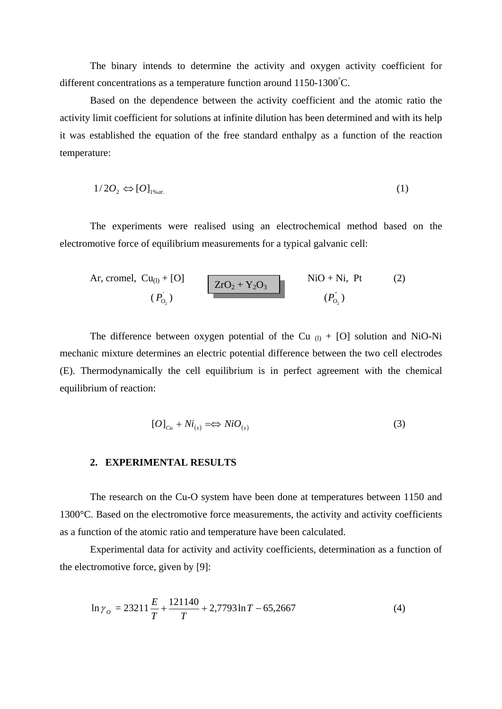The binary intends to determine the activity and oxygen activity coefficient for different concentrations as a temperature function around  $1150-1300^{\circ}$ C.

 Based on the dependence between the activity coefficient and the atomic ratio the activity limit coefficient for solutions at infinite dilution has been determined and with its help it was established the equation of the free standard enthalpy as a function of the reaction temperature:

$$
1/2O_2 \Leftrightarrow [O]_{1\%at.} \tag{1}
$$

 The experiments were realised using an electrochemical method based on the electromotive force of equilibrium measurements for a typical galvanic cell:

Ar, cromel, Cu<sub>(1)</sub> + [O]  
\n
$$
(P'_{O_2})
$$
  
\n $(P'_{O_2})$   
\n $(P'_{O_2})$   
\n $(P'_{O_2})$   
\n $(P'_{O_2})$ 

The difference between oxygen potential of the Cu  $_{(1)}$  + [O] solution and NiO-Ni mechanic mixture determines an electric potential difference between the two cell electrodes (E). Thermodynamically the cell equilibrium is in perfect agreement with the chemical equilibrium of reaction:

$$
[O]_{Cu} + Ni_{(s)} \implies NiO_{(s)} \tag{3}
$$

# **2. EXPERIMENTAL RESULTS**

The research on the Cu-O system have been done at temperatures between 1150 and 1300°C. Based on the electromotive force measurements, the activity and activity coefficients as a function of the atomic ratio and temperature have been calculated.

 Experimental data for activity and activity coefficients, determination as a function of the electromotive force, given by [9]:

$$
\ln \gamma_o = 23211 \frac{E}{T} + \frac{121140}{T} + 2,7793 \ln T - 65,2667 \tag{4}
$$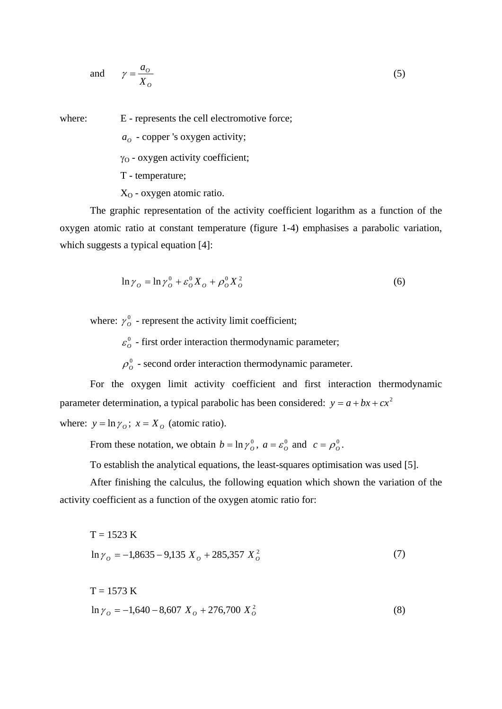and 
$$
\gamma = \frac{a_o}{X_o} \tag{5}
$$

where: E - represents the cell electromotive force;

 $a<sub>o</sub>$  - copper 's oxygen activity;

γ<sub>O</sub> - oxygen activity coefficient;

T - temperature;

 $X<sub>O</sub>$  - oxygen atomic ratio.

 The graphic representation of the activity coefficient logarithm as a function of the oxygen atomic ratio at constant temperature (figure 1-4) emphasises a parabolic variation, which suggests a typical equation [4]:

$$
\ln \gamma_o = \ln \gamma_o^0 + \varepsilon_o^0 X_o + \rho_o^0 X_o^2 \tag{6}
$$

where:  $\gamma_o^0$  - represent the activity limit coefficient;

 $\varepsilon_o^0$  - first order interaction thermodynamic parameter;

 $\rho_o^0$  - second order interaction thermodynamic parameter.

 For the oxygen limit activity coefficient and first interaction thermodynamic parameter determination, a typical parabolic has been considered:  $y = a + bx + cx^2$ where:  $y = \ln \gamma_o$ ;  $x = X_o$  (atomic ratio).

From these notation, we obtain  $b = \ln \gamma_o^0$ ,  $a = \varepsilon_o^0$  and  $c = \rho_o^0$ .

To establish the analytical equations, the least-squares optimisation was used [5].

 After finishing the calculus, the following equation which shown the variation of the activity coefficient as a function of the oxygen atomic ratio for:

$$
T = 1523 \text{ K}
$$
  
ln  $\gamma_o = -1,8635 - 9,135 X_o + 285,357 X_o^2$  (7)

$$
T = 1573 \text{ K}
$$
  
ln  $\gamma_o = -1,640 - 8,607 X_o + 276,700 X_o^2$  (8)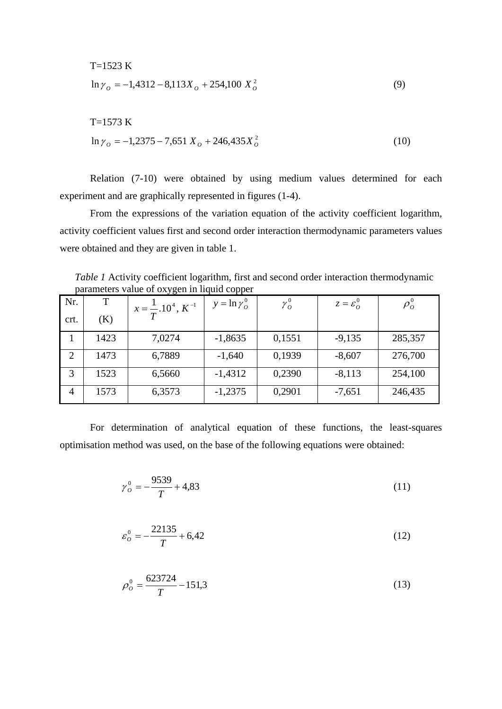T=1523 K  
\n
$$
\ln \gamma_o = -1,4312 - 8,113X_o + 254,100 X_o^2
$$
 (9)

T=1573 K  
\n
$$
\ln \gamma_o = -1,2375 - 7,651 X_o + 246,435 X_o^2
$$
 (10)

 Relation (7-10) were obtained by using medium values determined for each experiment and are graphically represented in figures (1-4).

 From the expressions of the variation equation of the activity coefficient logarithm, activity coefficient values first and second order interaction thermodynamic parameters values were obtained and they are given in table 1.

*Table 1* Activity coefficient logarithm, first and second order interaction thermodynamic parameters value of oxygen in liquid copper

| Nr.            | Т    | ־ ס ע<br>$x = \frac{1}{T}$ .10 <sup>4</sup> , $K^{-1}$ | $y = \ln \gamma_o^0$ | $\gamma^0_{\scriptscriptstyle O}$ | $z = \varepsilon_0^0$ | $\rho_o^{\scriptscriptstyle 0}$ |
|----------------|------|--------------------------------------------------------|----------------------|-----------------------------------|-----------------------|---------------------------------|
| crt.           | (K)  |                                                        |                      |                                   |                       |                                 |
|                | 1423 | 7,0274                                                 | $-1,8635$            | 0,1551                            | $-9,135$              | 285,357                         |
| $\overline{2}$ | 1473 | 6,7889                                                 | $-1,640$             | 0,1939                            | $-8,607$              | 276,700                         |
| 3              | 1523 | 6,5660                                                 | $-1,4312$            | 0,2390                            | $-8,113$              | 254,100                         |
| $\overline{4}$ | 1573 | 6,3573                                                 | $-1,2375$            | 0,2901                            | $-7,651$              | 246,435                         |

 For determination of analytical equation of these functions, the least-squares optimisation method was used, on the base of the following equations were obtained:

$$
\gamma_o^0 = -\frac{9539}{T} + 4,83\tag{11}
$$

$$
\varepsilon_o^0 = -\frac{22135}{T} + 6,42\tag{12}
$$

$$
\rho_o^0 = \frac{623724}{T} - 151.3\tag{13}
$$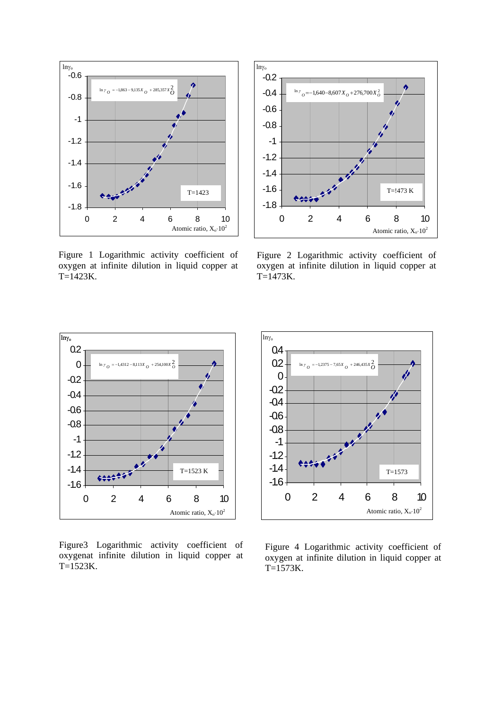

Figure 1 Logarithmic activity coefficient of oxygen at infinite dilution in liquid copper at T=1423K.



Figure 2 Logarithmic activity coefficient of oxygen at infinite dilution in liquid copper at T=1473K.



Figure3 Logarithmic activity coefficient of oxygenat infinite dilution in liquid copper at T=1523K.



Figure 4 Logarithmic activity coefficient of oxygen at infinite dilution in liquid copper at  $T=1573K$ .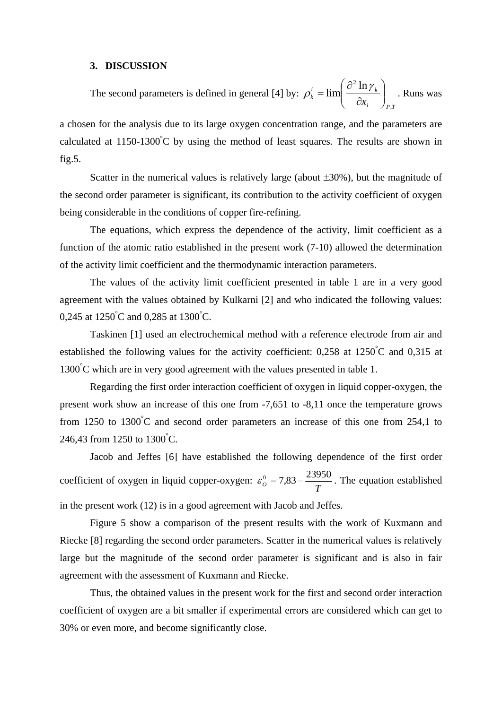### **3. DISCUSSION**

The second parameters is defined in general [4] by: *i* / *P*,*I*  $i = \lim_{k \to \infty} \left[ \frac{U - \ln f_k}{k} \right]$  $\sum_{k}$   $\sum_{i=1}^{n}$   $\partial x_i$   $\Big|_{P_i}$  $\lim \left( \frac{\partial^2 \ln \gamma_k}{\partial x} \right)$ ⎠  $\setminus$  $\parallel$ ⎝  $\sqrt{2}$ ∂  $\rho_k^i = \lim \left( \frac{\partial^2 \ln \gamma_k}{\partial \rho_k} \right)$  . Runs was

a chosen for the analysis due to its large oxygen concentration range, and the parameters are calculated at  $1150-1300^{\circ}$ C by using the method of least squares. The results are shown in fig.5.

Scatter in the numerical values is relatively large (about  $\pm 30\%$ ), but the magnitude of the second order parameter is significant, its contribution to the activity coefficient of oxygen being considerable in the conditions of copper fire-refining.

The equations, which express the dependence of the activity, limit coefficient as a function of the atomic ratio established in the present work (7-10) allowed the determination of the activity limit coefficient and the thermodynamic interaction parameters.

 The values of the activity limit coefficient presented in table 1 are in a very good agreement with the values obtained by Kulkarni [2] and who indicated the following values: 0,245 at  $1250^{\circ}$ C and 0,285 at  $1300^{\circ}$ C.

 Taskinen [1] used an electrochemical method with a reference electrode from air and established the following values for the activity coefficient:  $0,258$  at  $1250^{\circ}$ C and  $0,315$  at 1300° C which are in very good agreement with the values presented in table 1.

 Regarding the first order interaction coefficient of oxygen in liquid copper-oxygen, the present work show an increase of this one from -7,651 to -8,11 once the temperature grows from 1250 to 1300°C and second order parameters an increase of this one from 254,1 to 246,43 from 1250 to 1300°C.

Jacob and Jeffes [6] have established the following dependence of the first order coefficient of oxygen in liquid copper-oxygen:  $\varepsilon_o^0 = 7.83 - \frac{23950}{T}$ . The equation established in the present work (12) is in a good agreement with Jacob and Jeffes.

 Figure 5 show a comparison of the present results with the work of Kuxmann and Riecke [8] regarding the second order parameters. Scatter in the numerical values is relatively large but the magnitude of the second order parameter is significant and is also in fair agreement with the assessment of Kuxmann and Riecke.

 Thus, the obtained values in the present work for the first and second order interaction coefficient of oxygen are a bit smaller if experimental errors are considered which can get to 30% or even more, and become significantly close.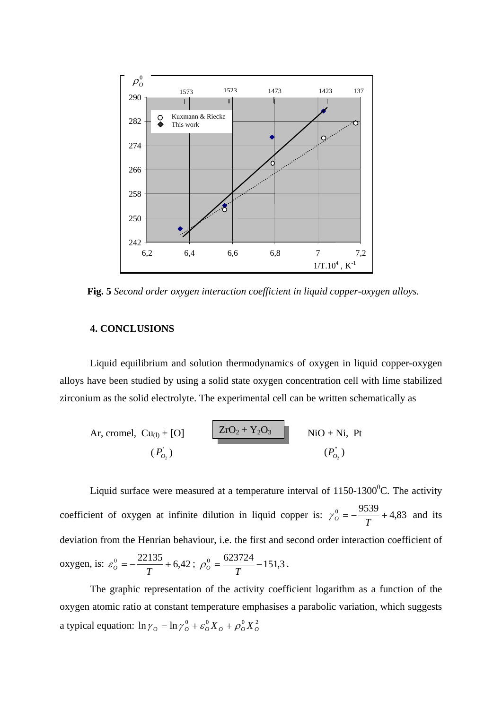

**Fig. 5** *Second order oxygen interaction coefficient in liquid copper-oxygen alloys.*

# **4. CONCLUSIONS**

Liquid equilibrium and solution thermodynamics of oxygen in liquid copper-oxygen alloys have been studied by using a solid state oxygen concentration cell with lime stabilized zirconium as the solid electrolyte. The experimental cell can be written schematically as

Ar, cromel, Cu<sub>(1)</sub> + [O] 
$$
\overline{ZrO_2 + Y_2O_3}
$$
 NiO + Ni, Pt  
\n( $P'_{O_2}$ )  $(P'_{O_2})$ 

Liquid surface were measured at a temperature interval of  $1150-1300^{\circ}$ C. The activity coefficient of oxygen at infinite dilution in liquid copper is:  $\gamma_o^0 = -\frac{9539}{T} + 4,83$  and its deviation from the Henrian behaviour, i.e. the first and second order interaction coefficient of oxygen, is:  $\varepsilon_o^0 = -\frac{22135}{T} + 6,42$ ;  $\rho_o^0 = \frac{623724}{T} - 151,3$ .

 The graphic representation of the activity coefficient logarithm as a function of the oxygen atomic ratio at constant temperature emphasises a parabolic variation, which suggests a typical equation:  $\ln \gamma_o = \ln \gamma_o^0 + \varepsilon_o^0 X_o + \rho_o^0 X_o^2$